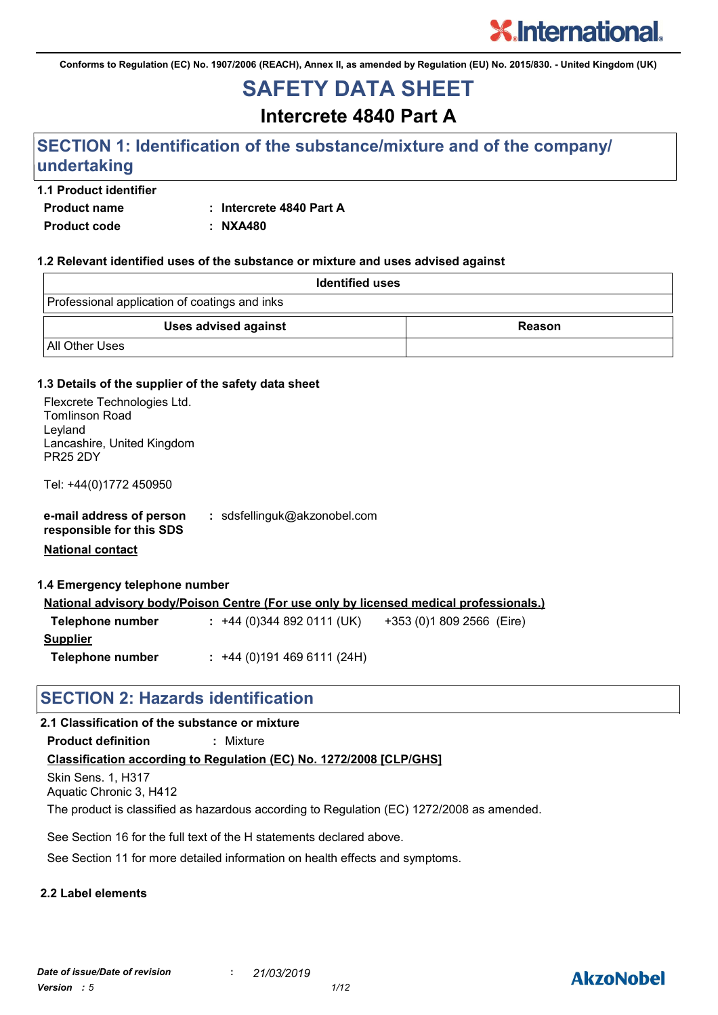**Conforms to Regulation (EC) No. 1907/2006 (REACH), Annex II, as amended by Regulation (EU) No. 2015/830. - United Kingdom (UK)**

## **SAFETY DATA SHEET**

**Intercrete 4840 Part A**

### **SECTION 1: Identification of the substance/mixture and of the company/ undertaking**

#### **1.1 Product identifier**

**Product name : Intercrete 4840 Part A**

**Product code : NXA480**

#### **1.2 Relevant identified uses of the substance or mixture and uses advised against**

| <b>Identified uses</b>                        |        |
|-----------------------------------------------|--------|
| Professional application of coatings and inks |        |
| Uses advised against                          | Reason |
| All Other Uses                                |        |

#### **1.3 Details of the supplier of the safety data sheet**

| Flexcrete Technologies Ltd.<br><b>Tomlinson Road</b><br>Leyland<br>Lancashire, United Kingdom<br><b>PR25 2DY</b><br>Tel: +44(0)1772 450950 |                                                                                               |
|--------------------------------------------------------------------------------------------------------------------------------------------|-----------------------------------------------------------------------------------------------|
|                                                                                                                                            |                                                                                               |
| e-mail address of person<br>responsible for this SDS                                                                                       | : sdsfellinguk@akzonobel.com                                                                  |
| <b>National contact</b>                                                                                                                    |                                                                                               |
|                                                                                                                                            |                                                                                               |
| 1.4 Emergency telephone number                                                                                                             |                                                                                               |
|                                                                                                                                            | <u>National advisory body/Poison Centre (For use only by licensed medical professionals.)</u> |
| Telephone number                                                                                                                           | : +44 (0) 344 892 0111 (UK) $+353$ (0) 1809 2566 (Eire)                                       |
| <b>Supplier</b>                                                                                                                            |                                                                                               |
| Telephone number                                                                                                                           | $: +44(0)1914696111(24H)$                                                                     |
|                                                                                                                                            |                                                                                               |

### **SECTION 2: Hazards identification**

#### **2.1 Classification of the substance or mixture**

**Product definition :** Mixture

#### **Classification according to Regulation (EC) No. 1272/2008 [CLP/GHS]**

Skin Sens. 1, H317 Aquatic Chronic 3, H412

The product is classified as hazardous according to Regulation (EC) 1272/2008 as amended.

See Section 16 for the full text of the H statements declared above.

See Section 11 for more detailed information on health effects and symptoms.

#### **2.2 Label elements**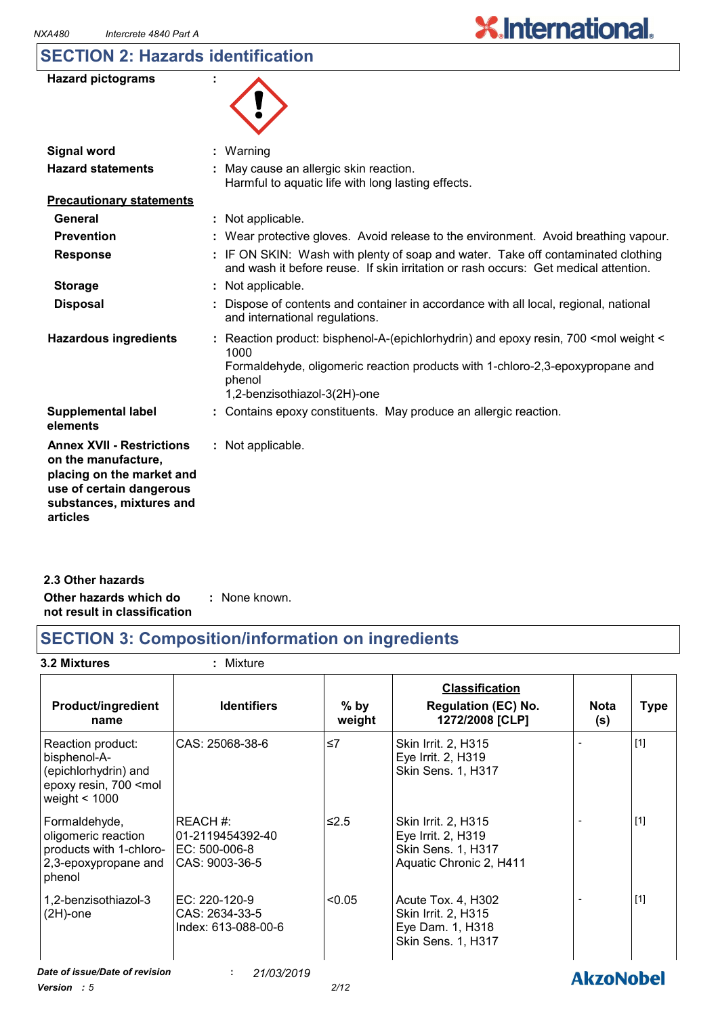### **SECTION 2: Hazards identification**

| <b>Hazard pictograms</b> |  |
|--------------------------|--|
|--------------------------|--|

| <b>Signal word</b>                                                                                                                                       | $:$ Warning                                                                                                                                                                                                                           |
|----------------------------------------------------------------------------------------------------------------------------------------------------------|---------------------------------------------------------------------------------------------------------------------------------------------------------------------------------------------------------------------------------------|
| <b>Hazard statements</b>                                                                                                                                 | May cause an allergic skin reaction.<br>Harmful to aquatic life with long lasting effects.                                                                                                                                            |
| <b>Precautionary statements</b>                                                                                                                          |                                                                                                                                                                                                                                       |
| General                                                                                                                                                  | : Not applicable.                                                                                                                                                                                                                     |
| <b>Prevention</b>                                                                                                                                        | Wear protective gloves. Avoid release to the environment. Avoid breathing vapour.                                                                                                                                                     |
| <b>Response</b>                                                                                                                                          | : IF ON SKIN: Wash with plenty of soap and water. Take off contaminated clothing<br>and wash it before reuse. If skin irritation or rash occurs: Get medical attention.                                                               |
| <b>Storage</b>                                                                                                                                           | : Not applicable.                                                                                                                                                                                                                     |
| <b>Disposal</b>                                                                                                                                          | Dispose of contents and container in accordance with all local, regional, national<br>and international regulations.                                                                                                                  |
| <b>Hazardous ingredients</b>                                                                                                                             | : Reaction product: bisphenol-A-(epichlorhydrin) and epoxy resin, 700 <mol <<br="" weight="">1000<br/>Formaldehyde, oligomeric reaction products with 1-chloro-2,3-epoxypropane and<br/>phenol<br/>1,2-benzisothiazol-3(2H)-one</mol> |
| <b>Supplemental label</b><br>elements                                                                                                                    | Contains epoxy constituents. May produce an allergic reaction.                                                                                                                                                                        |
| <b>Annex XVII - Restrictions</b><br>on the manufacture,<br>placing on the market and<br>use of certain dangerous<br>substances, mixtures and<br>articles | : Not applicable.                                                                                                                                                                                                                     |

| 2.3 Other hazards            |               |
|------------------------------|---------------|
| Other hazards which do       | : None known. |
| not result in classification |               |

### **SECTION 3: Composition/information on ingredients**

#### **3.2 Mixtures :** Mixture

| <b>Product/ingredient</b><br>name                                                                                            | <b>Identifiers</b>                                               | $%$ by<br>weight | <b>Classification</b><br><b>Regulation (EC) No.</b><br>1272/2008 [CLP]                     | <b>Nota</b><br>(s) | <b>Type</b> |
|------------------------------------------------------------------------------------------------------------------------------|------------------------------------------------------------------|------------------|--------------------------------------------------------------------------------------------|--------------------|-------------|
| Reaction product:<br>bisphenol-A-<br>(epichlorhydrin) and<br>epoxy resin, 700 <mol<br>weight <math>&lt; 1000</math></mol<br> | CAS: 25068-38-6                                                  | $\leq 7$         | Skin Irrit. 2, H315<br>Eye Irrit. 2, H319<br>Skin Sens. 1, H317                            |                    | $[1]$       |
| Formaldehyde,<br>oligomeric reaction<br>products with 1-chloro-<br>2,3-epoxypropane and<br>phenol                            | REACH #:<br>01-2119454392-40<br>IEC: 500-006-8<br>CAS: 9003-36-5 | $≤2.5$           | Skin Irrit. 2, H315<br>Eye Irrit. 2, H319<br>Skin Sens. 1, H317<br>Aquatic Chronic 2, H411 |                    | $[1]$       |
| 1,2-benzisothiazol-3<br>$(2H)$ -one                                                                                          | EC: 220-120-9<br>CAS: 2634-33-5<br>Index: 613-088-00-6           | < 0.05           | Acute Tox. 4, H302<br>Skin Irrit. 2, H315<br>Eye Dam. 1, H318<br>Skin Sens. 1, H317        |                    | $[1]$       |
| Date of issue/Date of revision                                                                                               | 21/03/2019<br>÷.                                                 |                  |                                                                                            | <b>AkzoNobel</b>   |             |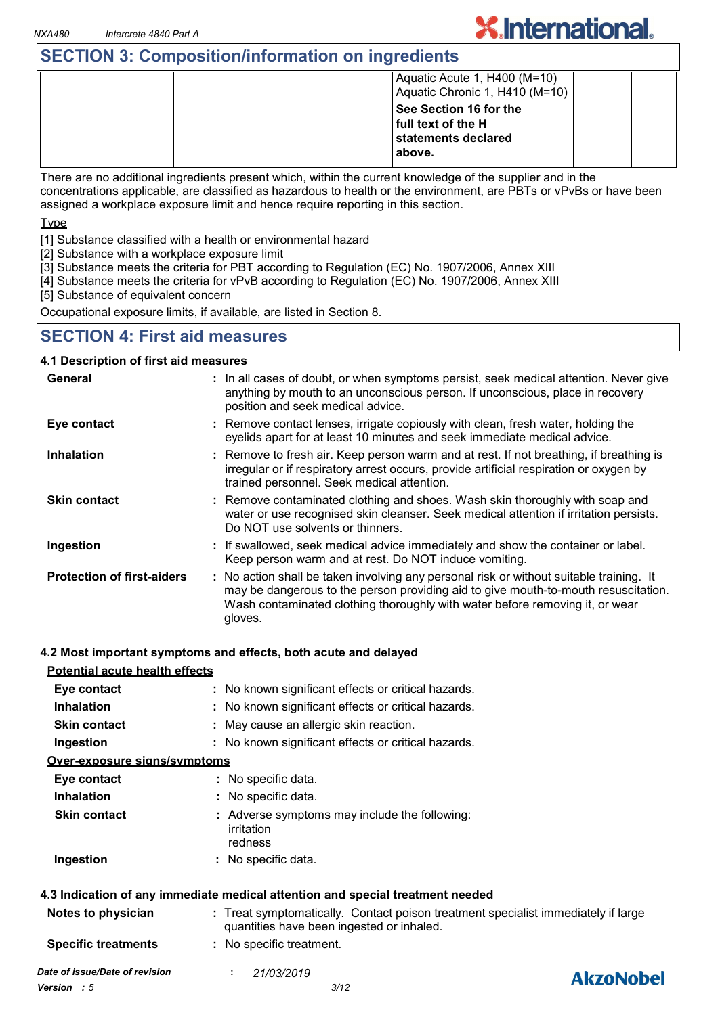### **SECTION 3: Composition/information on ingredients**

|  | Aquatic Acute 1, H400 (M=10)<br>Aquatic Chronic 1, H410 (M=10)                |  |
|--|-------------------------------------------------------------------------------|--|
|  | See Section 16 for the<br>full text of the H<br>statements declared<br>above. |  |

**X.International.** 

There are no additional ingredients present which, within the current knowledge of the supplier and in the concentrations applicable, are classified as hazardous to health or the environment, are PBTs or vPvBs or have been assigned a workplace exposure limit and hence require reporting in this section.

Type

[1] Substance classified with a health or environmental hazard

[2] Substance with a workplace exposure limit

[3] Substance meets the criteria for PBT according to Regulation (EC) No. 1907/2006, Annex XIII

[4] Substance meets the criteria for vPvB according to Regulation (EC) No. 1907/2006, Annex XIII

[5] Substance of equivalent concern

Occupational exposure limits, if available, are listed in Section 8.

### **SECTION 4: First aid measures**

#### **4.1 Description of first aid measures :** If swallowed, seek medical advice immediately and show the container or label. Keep person warm and at rest. Do NOT induce vomiting. Remove contact lenses, irrigate copiously with clean, fresh water, holding the **:** eyelids apart for at least 10 minutes and seek immediate medical advice. Remove contaminated clothing and shoes. Wash skin thoroughly with soap and **:** water or use recognised skin cleanser. Seek medical attention if irritation persists. Do NOT use solvents or thinners. **:** Remove to fresh air. Keep person warm and at rest. If not breathing, if breathing is irregular or if respiratory arrest occurs, provide artificial respiration or oxygen by trained personnel. Seek medical attention. General **In all cases of doubt, or when symptoms persist, seek medical attention. Never give <b>General** 3. anything by mouth to an unconscious person. If unconscious, place in recovery position and seek medical advice. **Skin contact Ingestion Inhalation Eye contact Protection of first-aiders :** No action shall be taken involving any personal risk or without suitable training. It may be dangerous to the person providing aid to give mouth-to-mouth resuscitation. Wash contaminated clothing thoroughly with water before removing it, or wear gloves.

#### **4.2 Most important symptoms and effects, both acute and delayed**

| <b>Potential acute health effects</b> |                                                                                                                                |
|---------------------------------------|--------------------------------------------------------------------------------------------------------------------------------|
| Eye contact                           | : No known significant effects or critical hazards.                                                                            |
| <b>Inhalation</b>                     | : No known significant effects or critical hazards.                                                                            |
| <b>Skin contact</b>                   | : May cause an allergic skin reaction.                                                                                         |
| Ingestion                             | : No known significant effects or critical hazards.                                                                            |
| Over-exposure signs/symptoms          |                                                                                                                                |
| Eye contact                           | : No specific data.                                                                                                            |
| <b>Inhalation</b>                     | : No specific data.                                                                                                            |
| <b>Skin contact</b>                   | : Adverse symptoms may include the following:<br>irritation<br>redness                                                         |
| Ingestion                             | : No specific data.                                                                                                            |
|                                       | 4.3 Indication of any immediate medical attention and special treatment needed                                                 |
| Notes to physician                    | : Treat symptomatically. Contact poison treatment specialist immediately if large<br>quantities have been ingested or inhaled. |
| <b>Specific treatments</b>            | : No specific treatment.                                                                                                       |

### **AkzoNobel**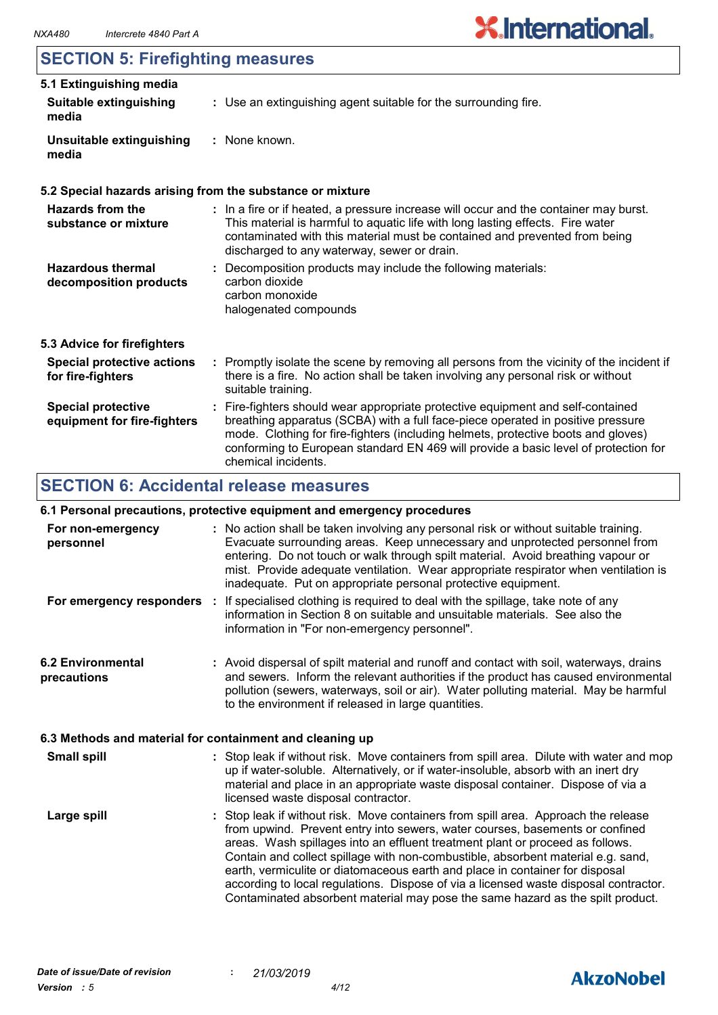### **SECTION 5: Firefighting measures**

| 5.1 Extinguishing media                                  |                                                                                                                                                                                                                                                                                                      |
|----------------------------------------------------------|------------------------------------------------------------------------------------------------------------------------------------------------------------------------------------------------------------------------------------------------------------------------------------------------------|
| <b>Suitable extinguishing</b><br>media                   | : Use an extinguishing agent suitable for the surrounding fire.                                                                                                                                                                                                                                      |
| Unsuitable extinguishing<br>media                        | : None known.                                                                                                                                                                                                                                                                                        |
|                                                          | 5.2 Special hazards arising from the substance or mixture                                                                                                                                                                                                                                            |
| <b>Hazards from the</b><br>substance or mixture          | : In a fire or if heated, a pressure increase will occur and the container may burst.<br>This material is harmful to aquatic life with long lasting effects. Fire water<br>contaminated with this material must be contained and prevented from being<br>discharged to any waterway, sewer or drain. |
| <b>Hazardous thermal</b><br>decomposition products       | : Decomposition products may include the following materials:<br>carbon dioxide<br>carbon monoxide<br>halogenated compounds                                                                                                                                                                          |
| 5.3 Advice for firefighters                              |                                                                                                                                                                                                                                                                                                      |
| <b>Special protective actions</b><br>for fire-fighters   | : Promptly isolate the scene by removing all persons from the vicinity of the incident if<br>there is a fire. No action shall be taken involving any personal risk or without<br>suitable training.                                                                                                  |
| <b>Special protective</b><br>equipment for fire-fighters | : Fire-fighters should wear appropriate protective equipment and self-contained<br>breathing apparatus (SCBA) with a full face-piece operated in positive pressure                                                                                                                                   |

### **SECTION 6: Accidental release measures**

#### **6.1 Personal precautions, protective equipment and emergency procedures**

chemical incidents.

| For non-emergency<br>personnel                           | : No action shall be taken involving any personal risk or without suitable training.<br>Evacuate surrounding areas. Keep unnecessary and unprotected personnel from<br>entering. Do not touch or walk through spilt material. Avoid breathing vapour or<br>mist. Provide adequate ventilation. Wear appropriate respirator when ventilation is<br>inadequate. Put on appropriate personal protective equipment.                                                                                                                                                                                   |
|----------------------------------------------------------|---------------------------------------------------------------------------------------------------------------------------------------------------------------------------------------------------------------------------------------------------------------------------------------------------------------------------------------------------------------------------------------------------------------------------------------------------------------------------------------------------------------------------------------------------------------------------------------------------|
|                                                          | For emergency responders : If specialised clothing is required to deal with the spillage, take note of any<br>information in Section 8 on suitable and unsuitable materials. See also the<br>information in "For non-emergency personnel".                                                                                                                                                                                                                                                                                                                                                        |
| <b>6.2 Environmental</b><br>precautions                  | : Avoid dispersal of spilt material and runoff and contact with soil, waterways, drains<br>and sewers. Inform the relevant authorities if the product has caused environmental<br>pollution (sewers, waterways, soil or air). Water polluting material. May be harmful<br>to the environment if released in large quantities.                                                                                                                                                                                                                                                                     |
| 6.3 Methods and material for containment and cleaning up |                                                                                                                                                                                                                                                                                                                                                                                                                                                                                                                                                                                                   |
| <b>Small spill</b>                                       | : Stop leak if without risk. Move containers from spill area. Dilute with water and mop<br>up if water-soluble. Alternatively, or if water-insoluble, absorb with an inert dry<br>material and place in an appropriate waste disposal container. Dispose of via a<br>licensed waste disposal contractor.                                                                                                                                                                                                                                                                                          |
| Large spill                                              | : Stop leak if without risk. Move containers from spill area. Approach the release<br>from upwind. Prevent entry into sewers, water courses, basements or confined<br>areas. Wash spillages into an effluent treatment plant or proceed as follows.<br>Contain and collect spillage with non-combustible, absorbent material e.g. sand,<br>earth, vermiculite or diatomaceous earth and place in container for disposal<br>according to local regulations. Dispose of via a licensed waste disposal contractor.<br>Contaminated absorbent material may pose the same hazard as the spilt product. |

mode. Clothing for fire-fighters (including helmets, protective boots and gloves) conforming to European standard EN 469 will provide a basic level of protection for

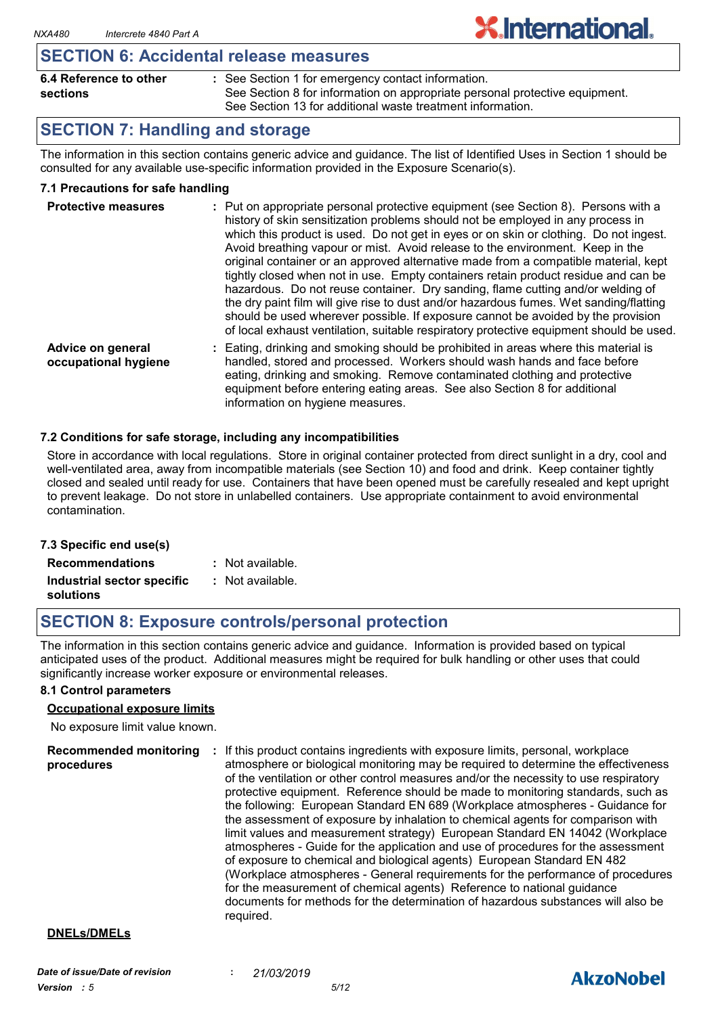#### **SECTION 6: Accidental release measures**

| 6.4 Reference to other | : See Section 1 for emergency contact information.                          |
|------------------------|-----------------------------------------------------------------------------|
| sections               | See Section 8 for information on appropriate personal protective equipment. |
|                        | See Section 13 for additional waste treatment information.                  |

### **SECTION 7: Handling and storage**

The information in this section contains generic advice and guidance. The list of Identified Uses in Section 1 should be consulted for any available use-specific information provided in the Exposure Scenario(s).

**X.International.** 

#### **7.1 Precautions for safe handling**

| <b>Protective measures</b>                | : Put on appropriate personal protective equipment (see Section 8). Persons with a<br>history of skin sensitization problems should not be employed in any process in<br>which this product is used. Do not get in eyes or on skin or clothing. Do not ingest.<br>Avoid breathing vapour or mist. Avoid release to the environment. Keep in the<br>original container or an approved alternative made from a compatible material, kept<br>tightly closed when not in use. Empty containers retain product residue and can be<br>hazardous. Do not reuse container. Dry sanding, flame cutting and/or welding of<br>the dry paint film will give rise to dust and/or hazardous fumes. Wet sanding/flatting<br>should be used wherever possible. If exposure cannot be avoided by the provision<br>of local exhaust ventilation, suitable respiratory protective equipment should be used. |
|-------------------------------------------|------------------------------------------------------------------------------------------------------------------------------------------------------------------------------------------------------------------------------------------------------------------------------------------------------------------------------------------------------------------------------------------------------------------------------------------------------------------------------------------------------------------------------------------------------------------------------------------------------------------------------------------------------------------------------------------------------------------------------------------------------------------------------------------------------------------------------------------------------------------------------------------|
| Advice on general<br>occupational hygiene | Eating, drinking and smoking should be prohibited in areas where this material is<br>handled, stored and processed. Workers should wash hands and face before<br>eating, drinking and smoking. Remove contaminated clothing and protective<br>equipment before entering eating areas. See also Section 8 for additional<br>information on hygiene measures.                                                                                                                                                                                                                                                                                                                                                                                                                                                                                                                              |

#### **7.2 Conditions for safe storage, including any incompatibilities**

Store in accordance with local regulations. Store in original container protected from direct sunlight in a dry, cool and well-ventilated area, away from incompatible materials (see Section 10) and food and drink. Keep container tightly closed and sealed until ready for use. Containers that have been opened must be carefully resealed and kept upright to prevent leakage. Do not store in unlabelled containers. Use appropriate containment to avoid environmental contamination.

| 7.3 Specific end use(s)    |                  |
|----------------------------|------------------|
| <b>Recommendations</b>     | : Not available. |
| Industrial sector specific | : Not available. |
| solutions                  |                  |

### **SECTION 8: Exposure controls/personal protection**

The information in this section contains generic advice and guidance. Information is provided based on typical anticipated uses of the product. Additional measures might be required for bulk handling or other uses that could significantly increase worker exposure or environmental releases.

#### **8.1 Control parameters**

#### **Occupational exposure limits**

No exposure limit value known.

**Recommended monitoring : If this product contains ingredients with exposure limits, personal, workplace procedures** atmosphere or biological monitoring may be required to determine the effectiveness of the ventilation or other control measures and/or the necessity to use respiratory protective equipment. Reference should be made to monitoring standards, such as the following: European Standard EN 689 (Workplace atmospheres - Guidance for the assessment of exposure by inhalation to chemical agents for comparison with limit values and measurement strategy) European Standard EN 14042 (Workplace atmospheres - Guide for the application and use of procedures for the assessment of exposure to chemical and biological agents) European Standard EN 482 (Workplace atmospheres - General requirements for the performance of procedures for the measurement of chemical agents) Reference to national guidance documents for methods for the determination of hazardous substances will also be required.

#### **DNELs/DMELs**

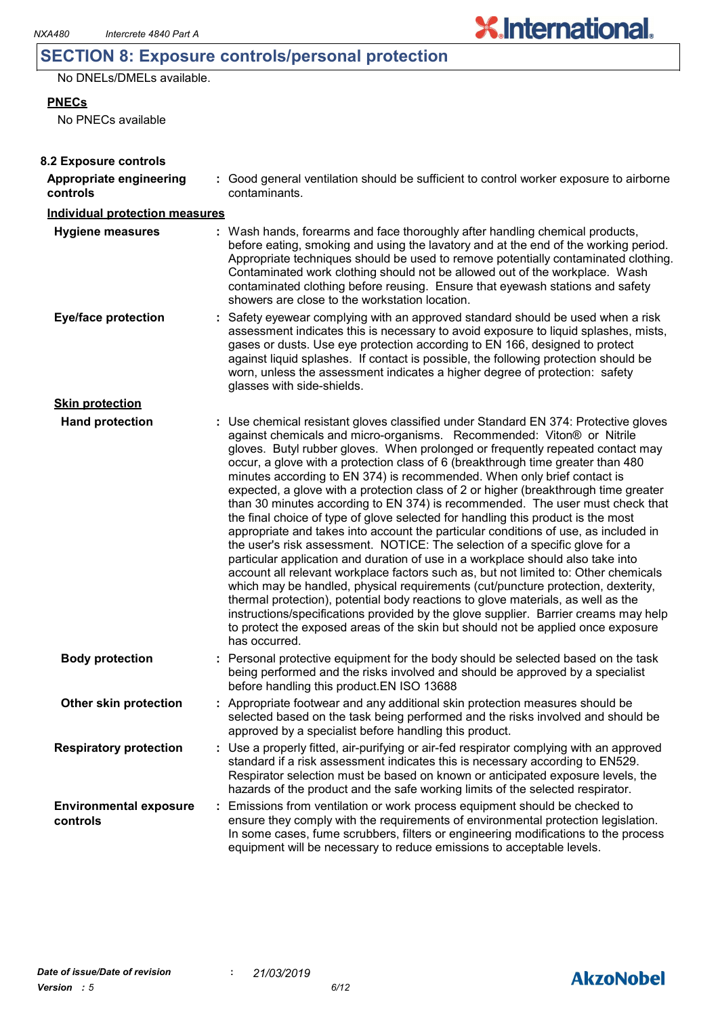### **SECTION 8: Exposure controls/personal protection**

No DNELs/DMELs available.

**PNECs**

No PNECs available

| 8.2 Exposure controls                     |                                                                                                                                                                                                                                                                                                                                                                                                                                                                                                                                                                                                                                                                                                                                                                                                                                                                                                                                                                                                                                                                                                                                                                                                                                                                                                                                                                                              |
|-------------------------------------------|----------------------------------------------------------------------------------------------------------------------------------------------------------------------------------------------------------------------------------------------------------------------------------------------------------------------------------------------------------------------------------------------------------------------------------------------------------------------------------------------------------------------------------------------------------------------------------------------------------------------------------------------------------------------------------------------------------------------------------------------------------------------------------------------------------------------------------------------------------------------------------------------------------------------------------------------------------------------------------------------------------------------------------------------------------------------------------------------------------------------------------------------------------------------------------------------------------------------------------------------------------------------------------------------------------------------------------------------------------------------------------------------|
| Appropriate engineering<br>controls       | : Good general ventilation should be sufficient to control worker exposure to airborne<br>contaminants.                                                                                                                                                                                                                                                                                                                                                                                                                                                                                                                                                                                                                                                                                                                                                                                                                                                                                                                                                                                                                                                                                                                                                                                                                                                                                      |
| <b>Individual protection measures</b>     |                                                                                                                                                                                                                                                                                                                                                                                                                                                                                                                                                                                                                                                                                                                                                                                                                                                                                                                                                                                                                                                                                                                                                                                                                                                                                                                                                                                              |
| <b>Hygiene measures</b>                   | : Wash hands, forearms and face thoroughly after handling chemical products,<br>before eating, smoking and using the lavatory and at the end of the working period.<br>Appropriate techniques should be used to remove potentially contaminated clothing.<br>Contaminated work clothing should not be allowed out of the workplace. Wash<br>contaminated clothing before reusing. Ensure that eyewash stations and safety<br>showers are close to the workstation location.                                                                                                                                                                                                                                                                                                                                                                                                                                                                                                                                                                                                                                                                                                                                                                                                                                                                                                                  |
| <b>Eye/face protection</b>                | : Safety eyewear complying with an approved standard should be used when a risk<br>assessment indicates this is necessary to avoid exposure to liquid splashes, mists,<br>gases or dusts. Use eye protection according to EN 166, designed to protect<br>against liquid splashes. If contact is possible, the following protection should be<br>worn, unless the assessment indicates a higher degree of protection: safety<br>glasses with side-shields.                                                                                                                                                                                                                                                                                                                                                                                                                                                                                                                                                                                                                                                                                                                                                                                                                                                                                                                                    |
| <b>Skin protection</b>                    |                                                                                                                                                                                                                                                                                                                                                                                                                                                                                                                                                                                                                                                                                                                                                                                                                                                                                                                                                                                                                                                                                                                                                                                                                                                                                                                                                                                              |
| <b>Hand protection</b>                    | : Use chemical resistant gloves classified under Standard EN 374: Protective gloves<br>against chemicals and micro-organisms. Recommended: Viton® or Nitrile<br>gloves. Butyl rubber gloves. When prolonged or frequently repeated contact may<br>occur, a glove with a protection class of 6 (breakthrough time greater than 480<br>minutes according to EN 374) is recommended. When only brief contact is<br>expected, a glove with a protection class of 2 or higher (breakthrough time greater<br>than 30 minutes according to EN 374) is recommended. The user must check that<br>the final choice of type of glove selected for handling this product is the most<br>appropriate and takes into account the particular conditions of use, as included in<br>the user's risk assessment. NOTICE: The selection of a specific glove for a<br>particular application and duration of use in a workplace should also take into<br>account all relevant workplace factors such as, but not limited to: Other chemicals<br>which may be handled, physical requirements (cut/puncture protection, dexterity,<br>thermal protection), potential body reactions to glove materials, as well as the<br>instructions/specifications provided by the glove supplier. Barrier creams may help<br>to protect the exposed areas of the skin but should not be applied once exposure<br>has occurred. |
| <b>Body protection</b>                    | Personal protective equipment for the body should be selected based on the task<br>being performed and the risks involved and should be approved by a specialist<br>before handling this product. EN ISO 13688                                                                                                                                                                                                                                                                                                                                                                                                                                                                                                                                                                                                                                                                                                                                                                                                                                                                                                                                                                                                                                                                                                                                                                               |
| Other skin protection                     | : Appropriate footwear and any additional skin protection measures should be<br>selected based on the task being performed and the risks involved and should be<br>approved by a specialist before handling this product.                                                                                                                                                                                                                                                                                                                                                                                                                                                                                                                                                                                                                                                                                                                                                                                                                                                                                                                                                                                                                                                                                                                                                                    |
| <b>Respiratory protection</b>             | : Use a properly fitted, air-purifying or air-fed respirator complying with an approved<br>standard if a risk assessment indicates this is necessary according to EN529.<br>Respirator selection must be based on known or anticipated exposure levels, the<br>hazards of the product and the safe working limits of the selected respirator.                                                                                                                                                                                                                                                                                                                                                                                                                                                                                                                                                                                                                                                                                                                                                                                                                                                                                                                                                                                                                                                |
| <b>Environmental exposure</b><br>controls | Emissions from ventilation or work process equipment should be checked to<br>ensure they comply with the requirements of environmental protection legislation.<br>In some cases, fume scrubbers, filters or engineering modifications to the process<br>equipment will be necessary to reduce emissions to acceptable levels.                                                                                                                                                                                                                                                                                                                                                                                                                                                                                                                                                                                                                                                                                                                                                                                                                                                                                                                                                                                                                                                                |



**X.International.**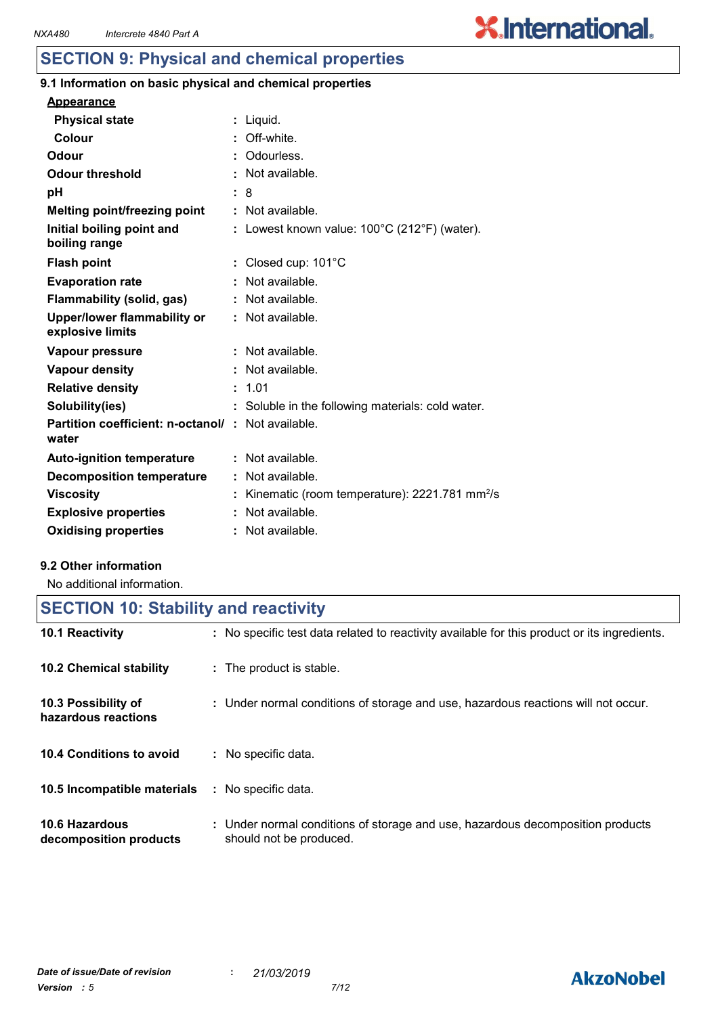## **X.International.**

### **SECTION 9: Physical and chemical properties**

#### **9.1 Information on basic physical and chemical properties**

| <b>Appearance</b>                                                 |                                                           |
|-------------------------------------------------------------------|-----------------------------------------------------------|
| <b>Physical state</b>                                             | : Liquid.                                                 |
| Colour                                                            | Off-white.                                                |
| Odour                                                             | Odourless.                                                |
| <b>Odour threshold</b>                                            | Not available.                                            |
| рH                                                                | : 8                                                       |
| <b>Melting point/freezing point</b>                               | : Not available.                                          |
| Initial boiling point and<br>boiling range                        | : Lowest known value: $100^{\circ}$ C (212°F) (water).    |
| <b>Flash point</b>                                                | Closed cup: 101°C                                         |
| <b>Evaporation rate</b>                                           | Not available.                                            |
| Flammability (solid, gas)                                         | : Not available.                                          |
| <b>Upper/lower flammability or</b><br>explosive limits            | : Not available.                                          |
| Vapour pressure                                                   | $\therefore$ Not available.                               |
| <b>Vapour density</b>                                             | Not available.                                            |
| <b>Relative density</b>                                           | : 1.01                                                    |
| Solubility(ies)                                                   | : Soluble in the following materials: cold water.         |
| <b>Partition coefficient: n-octanol/: Not available.</b><br>water |                                                           |
| <b>Auto-ignition temperature</b>                                  | : Not available.                                          |
| <b>Decomposition temperature</b>                                  | Not available.                                            |
| <b>Viscosity</b>                                                  | Kinematic (room temperature): 2221.781 mm <sup>2</sup> /s |
| <b>Explosive properties</b>                                       | Not available.                                            |
| <b>Oxidising properties</b>                                       | : Not available.                                          |

#### **9.2 Other information**

No additional information.

| <b>SECTION 10: Stability and reactivity</b> |                                                                                                           |  |
|---------------------------------------------|-----------------------------------------------------------------------------------------------------------|--|
| 10.1 Reactivity                             | : No specific test data related to reactivity available for this product or its ingredients.              |  |
| <b>10.2 Chemical stability</b>              | : The product is stable.                                                                                  |  |
| 10.3 Possibility of<br>hazardous reactions  | : Under normal conditions of storage and use, hazardous reactions will not occur.                         |  |
| 10.4 Conditions to avoid                    | : No specific data.                                                                                       |  |
| 10.5 Incompatible materials                 | : No specific data.                                                                                       |  |
| 10.6 Hazardous<br>decomposition products    | : Under normal conditions of storage and use, hazardous decomposition products<br>should not be produced. |  |

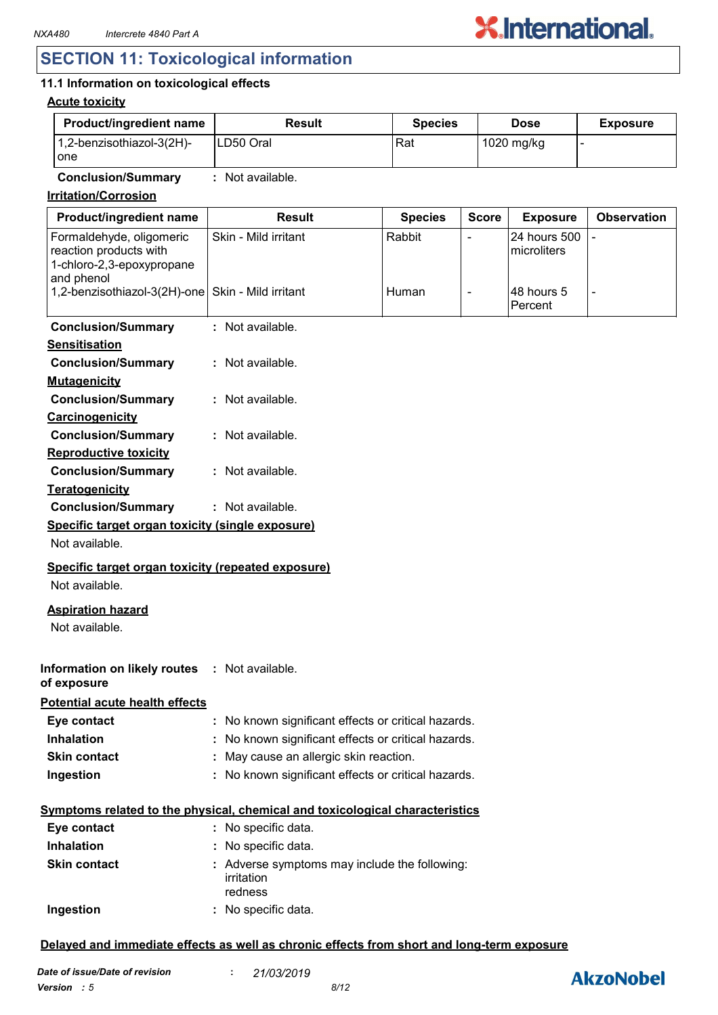### **SECTION 11: Toxicological information**

### **11.1 Information on toxicological effects**

#### **Acute toxicity**

| <b>Product/ingredient name</b>               | Result     | <b>Species</b> | <b>Dose</b> | <b>Exposure</b> |
|----------------------------------------------|------------|----------------|-------------|-----------------|
| $1,2$ -benzisothiazol-3(2H)-<br><b>l</b> one | ILD50 Oral | Rat            | 1020 mg/kg  |                 |

**Conclusion/Summary :** Not available.

**Irritation/Corrosion**

| Product/ingredient name                                                                       | <b>Result</b>                                                                | <b>Species</b> | <b>Score</b>             | <b>Exposure</b>             | <b>Observation</b> |
|-----------------------------------------------------------------------------------------------|------------------------------------------------------------------------------|----------------|--------------------------|-----------------------------|--------------------|
| Formaldehyde, oligomeric<br>reaction products with<br>1-chloro-2,3-epoxypropane<br>and phenol | Skin - Mild irritant                                                         | Rabbit         | $\overline{a}$           | 24 hours 500<br>microliters |                    |
| 1,2-benzisothiazol-3(2H)-one                                                                  | Skin - Mild irritant                                                         | Human          | $\overline{\phantom{a}}$ | 48 hours 5<br>Percent       |                    |
| <b>Conclusion/Summary</b>                                                                     | : Not available.                                                             |                |                          |                             |                    |
| <b>Sensitisation</b>                                                                          |                                                                              |                |                          |                             |                    |
| <b>Conclusion/Summary</b>                                                                     | : Not available.                                                             |                |                          |                             |                    |
| <b>Mutagenicity</b>                                                                           |                                                                              |                |                          |                             |                    |
| <b>Conclusion/Summary</b>                                                                     | : Not available.                                                             |                |                          |                             |                    |
| Carcinogenicity                                                                               |                                                                              |                |                          |                             |                    |
| <b>Conclusion/Summary</b>                                                                     | : Not available.                                                             |                |                          |                             |                    |
| <b>Reproductive toxicity</b>                                                                  |                                                                              |                |                          |                             |                    |
| <b>Conclusion/Summary</b>                                                                     | : Not available.                                                             |                |                          |                             |                    |
| <b>Teratogenicity</b>                                                                         |                                                                              |                |                          |                             |                    |
| <b>Conclusion/Summary</b>                                                                     | : Not available.                                                             |                |                          |                             |                    |
| Specific target organ toxicity (single exposure)                                              |                                                                              |                |                          |                             |                    |
| Not available.                                                                                |                                                                              |                |                          |                             |                    |
| Specific target organ toxicity (repeated exposure)                                            |                                                                              |                |                          |                             |                    |
| Not available.                                                                                |                                                                              |                |                          |                             |                    |
| <b>Aspiration hazard</b><br>Not available.                                                    |                                                                              |                |                          |                             |                    |
| Information on likely routes : Not available.<br>of exposure                                  |                                                                              |                |                          |                             |                    |
| <b>Potential acute health effects</b>                                                         |                                                                              |                |                          |                             |                    |
| Eye contact                                                                                   | : No known significant effects or critical hazards.                          |                |                          |                             |                    |
| <b>Inhalation</b>                                                                             | No known significant effects or critical hazards.                            |                |                          |                             |                    |
| <b>Skin contact</b>                                                                           | : May cause an allergic skin reaction.                                       |                |                          |                             |                    |
| Ingestion                                                                                     | : No known significant effects or critical hazards.                          |                |                          |                             |                    |
|                                                                                               | Symptoms related to the physical, chemical and toxicological characteristics |                |                          |                             |                    |
| Eye contact                                                                                   | : No specific data.                                                          |                |                          |                             |                    |
| Inhalation                                                                                    | : No specific data.                                                          |                |                          |                             |                    |
| <b>Skin contact</b>                                                                           | : Adverse symptoms may include the following:<br>irritation<br>redness       |                |                          |                             |                    |
| Ingestion                                                                                     | : No specific data.                                                          |                |                          |                             |                    |
|                                                                                               |                                                                              |                |                          |                             |                    |

#### **Delayed and immediate effects as well as chronic effects from short and long-term exposure**

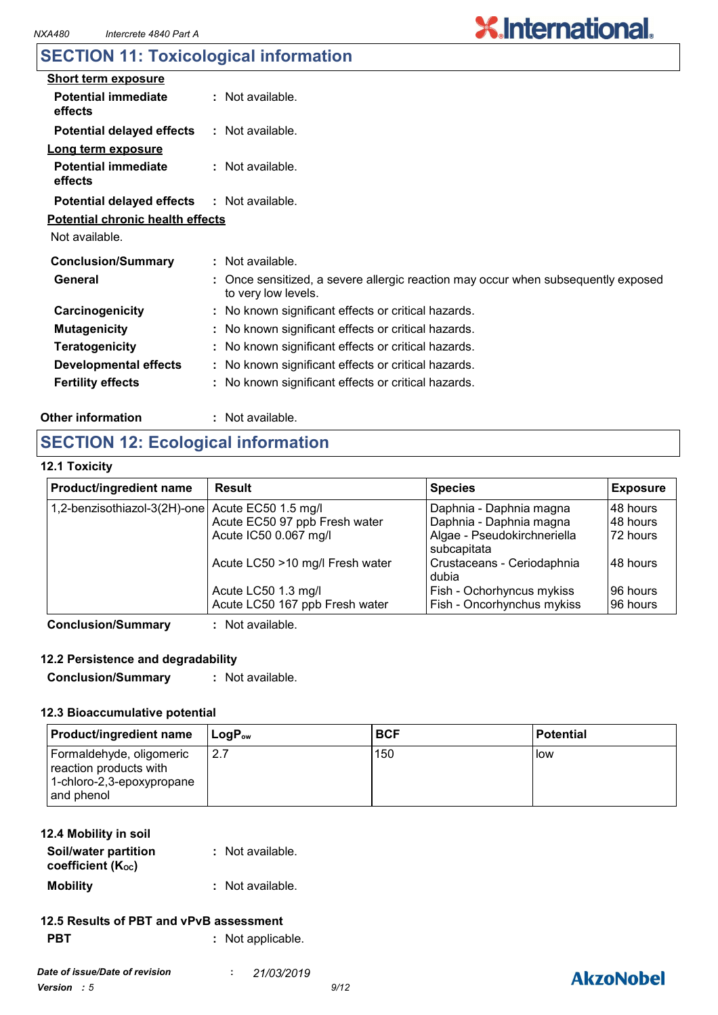# **X.International.**

### **SECTION 11: Toxicological information**

| <b>Short term exposure</b>              |                                                                                                        |  |
|-----------------------------------------|--------------------------------------------------------------------------------------------------------|--|
| <b>Potential immediate</b><br>effects   | $:$ Not available.                                                                                     |  |
| <b>Potential delayed effects</b>        | : Not available.                                                                                       |  |
| Long term exposure                      |                                                                                                        |  |
| <b>Potential immediate</b><br>effects   | $:$ Not available.                                                                                     |  |
| <b>Potential delayed effects</b>        | $:$ Not available.                                                                                     |  |
| <b>Potential chronic health effects</b> |                                                                                                        |  |
| Not available.                          |                                                                                                        |  |
| <b>Conclusion/Summary</b>               | : Not available.                                                                                       |  |
| General                                 | Once sensitized, a severe allergic reaction may occur when subsequently exposed<br>to very low levels. |  |
| Carcinogenicity                         | : No known significant effects or critical hazards.                                                    |  |
| <b>Mutagenicity</b>                     | : No known significant effects or critical hazards.                                                    |  |
| <b>Teratogenicity</b>                   | : No known significant effects or critical hazards.                                                    |  |
| <b>Developmental effects</b>            | : No known significant effects or critical hazards.                                                    |  |
| <b>Fertility effects</b>                | : No known significant effects or critical hazards.                                                    |  |
|                                         |                                                                                                        |  |

#### **Other information :**

: Not available.

### **SECTION 12: Ecological information**

#### **12.1 Toxicity**

| Product/ingredient name                          | <b>Result</b>                   | <b>Species</b>                             | <b>Exposure</b> |
|--------------------------------------------------|---------------------------------|--------------------------------------------|-----------------|
| 1,2-benzisothiazol-3(2H)-one Acute EC50 1.5 mg/l |                                 | Daphnia - Daphnia magna                    | 148 hours       |
|                                                  | Acute EC50 97 ppb Fresh water   | Daphnia - Daphnia magna                    | 48 hours        |
|                                                  | Acute IC50 0.067 mg/l           | Algae - Pseudokirchneriella<br>subcapitata | 72 hours        |
|                                                  | Acute LC50 >10 mg/l Fresh water | Crustaceans - Ceriodaphnia<br>dubia        | 48 hours        |
|                                                  | Acute LC50 1.3 mg/l             | Fish - Ochorhyncus mykiss                  | 96 hours        |
|                                                  | Acute LC50 167 ppb Fresh water  | Fish - Oncorhynchus mykiss                 | 96 hours        |
| Canalugian Cumman                                | . Not ovojlabla                 |                                            |                 |

**Conclusion/Summary :** Not available.

#### **12.2 Persistence and degradability**

**Conclusion/Summary :** Not available.

#### **12.3 Bioaccumulative potential**

| <b>Product/ingredient name</b>                                                                   | ⊺LoɑP <sub>ow</sub> | <b>BCF</b> | <b>Potential</b> |
|--------------------------------------------------------------------------------------------------|---------------------|------------|------------------|
| Formaldehyde, oligomeric<br>reaction products with<br>$1$ -chloro-2,3-epoxypropane<br>and phenol | 12.7                | 150        | <b>I</b> ow      |

#### **12.4 Mobility in soil**

| Soil/water partition<br>coefficient (Koc) | : Not available. |
|-------------------------------------------|------------------|
| <b>Mobility</b>                           | : Not available. |

#### **PBT :** Not applicable. **12.5 Results of PBT and vPvB assessment**

| . |  | . TVUL applicable. |
|---|--|--------------------|
|   |  |                    |
|   |  |                    |
|   |  |                    |

### **AkzoNobel**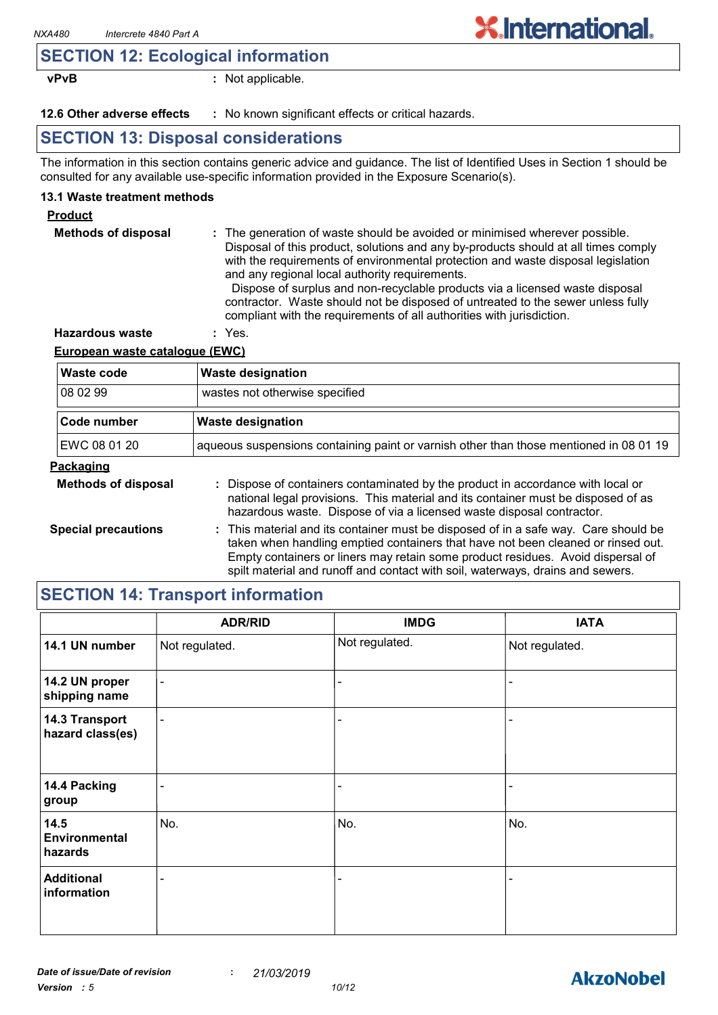### **SECTION 12: Ecological information**

**vPvB :** Not applicable.

**12.6 Other adverse effects** : No known significant effects or critical hazards.

### **SECTION 13: Disposal considerations**

The information in this section contains generic advice and guidance. The list of Identified Uses in Section 1 should be consulted for any available use-specific information provided in the Exposure Scenario(s).

#### **13.1 Waste treatment methods**

#### **Product**

| <b>Methods of disposal</b> | : The generation of waste should be avoided or minimised wherever possible.<br>Disposal of this product, solutions and any by-products should at all times comply<br>with the requirements of environmental protection and waste disposal legislation<br>and any regional local authority requirements.<br>Dispose of surplus and non-recyclable products via a licensed waste disposal<br>contractor. Waste should not be disposed of untreated to the sewer unless fully<br>compliant with the requirements of all authorities with jurisdiction. |
|----------------------------|-----------------------------------------------------------------------------------------------------------------------------------------------------------------------------------------------------------------------------------------------------------------------------------------------------------------------------------------------------------------------------------------------------------------------------------------------------------------------------------------------------------------------------------------------------|
| <b>Hazardous waste</b>     | : Yes.                                                                                                                                                                                                                                                                                                                                                                                                                                                                                                                                              |

#### **European waste catalogue (EWC)**

| <b>Waste code</b>          | <b>Waste designation</b>                                                                                                                                                                                                                                                                                                                     |  |  |
|----------------------------|----------------------------------------------------------------------------------------------------------------------------------------------------------------------------------------------------------------------------------------------------------------------------------------------------------------------------------------------|--|--|
| 08 02 99                   | wastes not otherwise specified                                                                                                                                                                                                                                                                                                               |  |  |
| Code number                | <b>Waste designation</b>                                                                                                                                                                                                                                                                                                                     |  |  |
| EWC 08 01 20               | aqueous suspensions containing paint or varnish other than those mentioned in 08 01 19                                                                                                                                                                                                                                                       |  |  |
| <b>Packaging</b>           |                                                                                                                                                                                                                                                                                                                                              |  |  |
| <b>Methods of disposal</b> | : Dispose of containers contaminated by the product in accordance with local or<br>national legal provisions. This material and its container must be disposed of as<br>hazardous waste. Dispose of via a licensed waste disposal contractor.                                                                                                |  |  |
| <b>Special precautions</b> | : This material and its container must be disposed of in a safe way. Care should be<br>taken when handling emptied containers that have not been cleaned or rinsed out.<br>Empty containers or liners may retain some product residues. Avoid dispersal of<br>spilt material and runoff and contact with soil, waterways, drains and sewers. |  |  |

### **SECTION 14: Transport information**

|                                    | <b>ADR/RID</b>           | <b>IMDG</b>    | <b>IATA</b>    |
|------------------------------------|--------------------------|----------------|----------------|
| 14.1 UN number                     | Not regulated.           | Not regulated. | Not regulated. |
| 14.2 UN proper<br>shipping name    | $\overline{\phantom{a}}$ |                |                |
| 14.3 Transport<br>hazard class(es) | $\overline{\phantom{0}}$ |                |                |
| 14.4 Packing<br>group              | $\qquad \qquad$          |                |                |
| 14.5<br>Environmental<br>hazards   | No.                      | No.            | No.            |
| <b>Additional</b><br>information   | -                        |                |                |

**X.International.**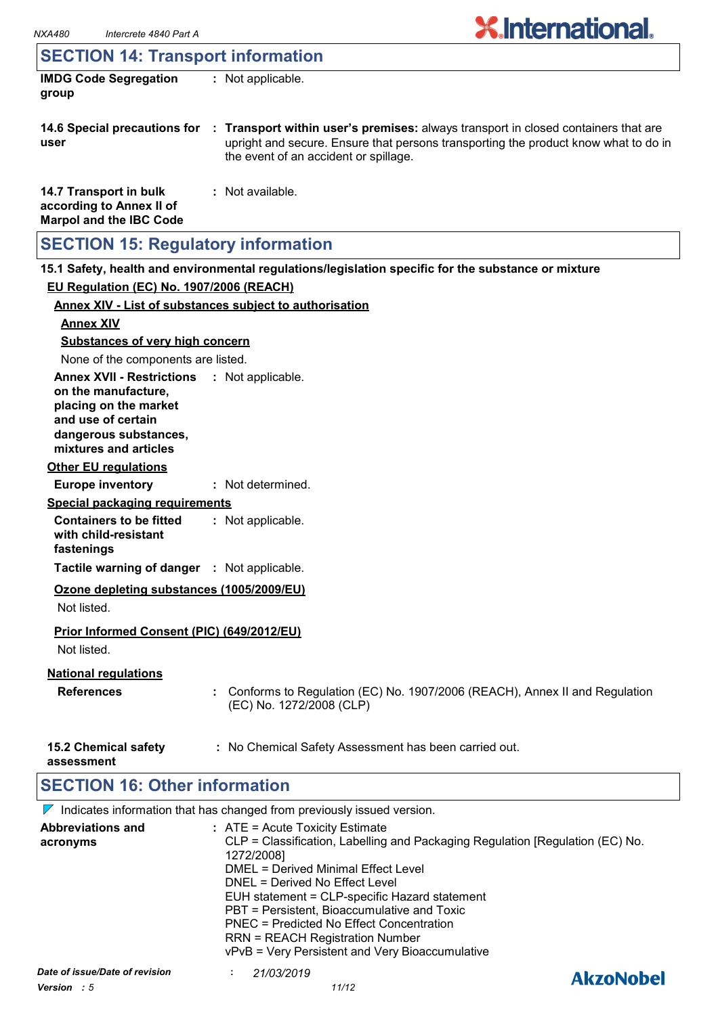### **SECTION 14: Transport information**

| <b>IMDG Code Segregation</b> | : Not applicable. |
|------------------------------|-------------------|
| group                        |                   |

- **14.6 Special precautions for : Transport within user's premises:** always transport in closed containers that are **user** upright and secure. Ensure that persons transporting the product know what to do in the event of an accident or spillage.
- **14.7 Transport in bulk according to Annex II of Marpol and the IBC Code :** Not available.

### **SECTION 15: Regulatory information**

**15.1 Safety, health and environmental regulations/legislation specific for the substance or mixture EU Regulation (EC) No. 1907/2006 (REACH)**

| Annex XIV - List of substances subject to authorisation                                                                                                                    |                                                                                                        |
|----------------------------------------------------------------------------------------------------------------------------------------------------------------------------|--------------------------------------------------------------------------------------------------------|
| <b>Annex XIV</b>                                                                                                                                                           |                                                                                                        |
| <b>Substances of very high concern</b>                                                                                                                                     |                                                                                                        |
| None of the components are listed.                                                                                                                                         |                                                                                                        |
| <b>Annex XVII - Restrictions : Not applicable.</b><br>on the manufacture,<br>placing on the market<br>and use of certain<br>dangerous substances,<br>mixtures and articles |                                                                                                        |
| <b>Other EU regulations</b>                                                                                                                                                |                                                                                                        |
| <b>Europe inventory</b>                                                                                                                                                    | : Not determined.                                                                                      |
| <b>Special packaging requirements</b>                                                                                                                                      |                                                                                                        |
| <b>Containers to be fitted</b><br>with child-resistant<br>fastenings                                                                                                       | : Not applicable.                                                                                      |
| Tactile warning of danger : Not applicable.                                                                                                                                |                                                                                                        |
| Ozone depleting substances (1005/2009/EU)<br>Not listed.                                                                                                                   |                                                                                                        |
| Prior Informed Consent (PIC) (649/2012/EU)<br>Not listed.                                                                                                                  |                                                                                                        |
| <b>National regulations</b><br><b>References</b>                                                                                                                           | Conforms to Regulation (EC) No. 1907/2006 (REACH), Annex II and Regulation<br>(EC) No. 1272/2008 (CLP) |
| <b>15.2 Chemical safety</b><br>assessment                                                                                                                                  | : No Chemical Safety Assessment has been carried out.                                                  |

### **SECTION 16: Other information**

 $\nabla$  Indicates information that has changed from previously issued version.

| Date of issue/Date of revision       | vPvB = Very Persistent and Very Bioaccumulative<br>21/03/2019<br>$\blacksquare$                                                   | <b>AkzoNobel</b> |
|--------------------------------------|-----------------------------------------------------------------------------------------------------------------------------------|------------------|
|                                      | PBT = Persistent, Bioaccumulative and Toxic<br>PNEC = Predicted No Effect Concentration<br><b>RRN = REACH Registration Number</b> |                  |
|                                      | DNEL = Derived No Effect Level<br>EUH statement = CLP-specific Hazard statement                                                   |                  |
|                                      | 1272/2008]<br>DMEL = Derived Minimal Effect Level                                                                                 |                  |
| <b>Abbreviations and</b><br>acronyms | : ATE = Acute Toxicity Estimate<br>CLP = Classification, Labelling and Packaging Regulation [Regulation (EC) No.                  |                  |
|                                      |                                                                                                                                   |                  |